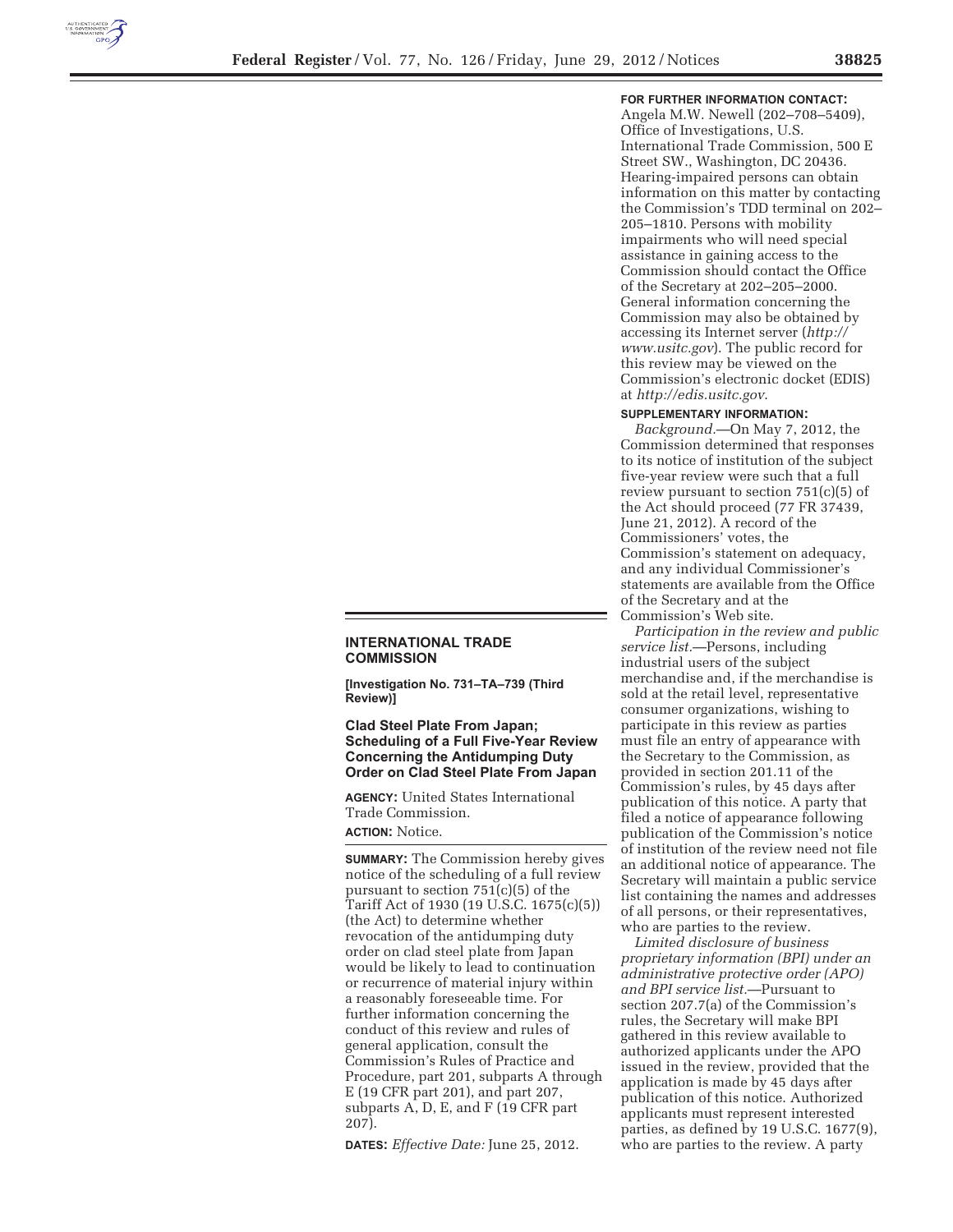

#### **FOR FURTHER INFORMATION CONTACT:**

Angela M.W. Newell (202–708–5409), Office of Investigations, U.S. International Trade Commission, 500 E Street SW., Washington, DC 20436. Hearing-impaired persons can obtain information on this matter by contacting the Commission's TDD terminal on 202– 205–1810. Persons with mobility impairments who will need special assistance in gaining access to the Commission should contact the Office of the Secretary at 202–205–2000. General information concerning the Commission may also be obtained by accessing its Internet server (*http:// www.usitc.gov*). The public record for this review may be viewed on the Commission's electronic docket (EDIS) at *http://edis.usitc.gov*.

#### **SUPPLEMENTARY INFORMATION:**

*Background.*—On May 7, 2012, the Commission determined that responses to its notice of institution of the subject five-year review were such that a full review pursuant to section 751(c)(5) of the Act should proceed (77 FR 37439, June 21, 2012). A record of the Commissioners' votes, the Commission's statement on adequacy, and any individual Commissioner's statements are available from the Office of the Secretary and at the Commission's Web site.

# **INTERNATIONAL TRADE COMMISSION**

[Investigation No. 731-TA-739 (Third **Review)1** 

### **Clad Steel Plate From Japan; Scheduling of a Full Five-Year Review Concerning the Antidumping Duty 2D** Order on Clad Steel Plate From Japan

**AGENCY:** United States International Trade Commission.

## **ACTION: Notice.**

**SUMMARY:** The Commission hereby gives notice of the scheduling of a full review pursuant to section 751(c)(5) of the Tariff Act of 1930 (19 U.S.C. 1675(c)(5)) (the Act) to determine whether revocation of the antidumping duty order on clad steel plate from Japan would be likely to lead to continuation or recurrence of material injury within a reasonably foreseeable time. For further information concerning the conduct of this review and rules of general application, consult the Commission's Rules of Practice and Procedure, part 201, subparts A through E (19 CFR part 201), and part 207, subparts A, D, E, and F (19 CFR part 207).

**'\$7(6***Effective Date:* June 25, 2012.

*Participation in the review and public service list.*—Persons, including industrial users of the subject merchandise and, if the merchandise is sold at the retail level, representative consumer organizations, wishing to participate in this review as parties must file an entry of appearance with the Secretary to the Commission, as provided in section 201.11 of the Commission's rules, by 45 days after publication of this notice. A party that filed a notice of appearance following publication of the Commission's notice of institution of the review need not file an additional notice of appearance. The Secretary will maintain a public service list containing the names and addresses of all persons, or their representatives, who are parties to the review.

*Limited disclosure of business proprietary information (BPI) under an administrative protective order (APO) and BPI service list.*—Pursuant to section 207.7(a) of the Commission's rules, the Secretary will make BPI gathered in this review available to authorized applicants under the APO issued in the review, provided that the application is made by 45 days after publication of this notice. Authorized applicants must represent interested parties, as defined by 19 U.S.C. 1677(9), who are parties to the review. A party